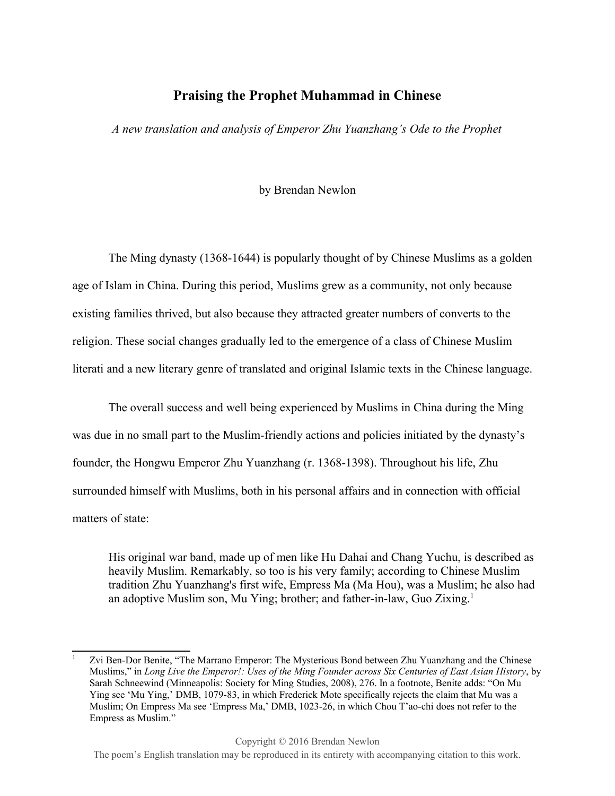# **Praising the Prophet Muhammad in Chinese**

*A new translation and analysis of Emperor Zhu Yuanzhang's Ode to the Prophet*

#### by Brendan Newlon

The Ming dynasty (1368-1644) is popularly thought of by Chinese Muslims as a golden age of Islam in China. During this period, Muslims grew as a community, not only because existing families thrived, but also because they attracted greater numbers of converts to the religion. These social changes gradually led to the emergence of a class of Chinese Muslim literati and a new literary genre of translated and original Islamic texts in the Chinese language.

The overall success and well being experienced by Muslims in China during the Ming was due in no small part to the Muslim-friendly actions and policies initiated by the dynasty's founder, the Hongwu Emperor Zhu Yuanzhang (r. 1368-1398). Throughout his life, Zhu surrounded himself with Muslims, both in his personal affairs and in connection with official matters of state:

His original war band, made up of men like Hu Dahai and Chang Yuchu, is described as heavily Muslim. Remarkably, so too is his very family; according to Chinese Muslim tradition Zhu Yuanzhang's first wife, Empress Ma (Ma Hou), was a Muslim; he also had an adoptive Muslim son, Mu Ying; brother; and father-in-law, Guo Zixing.<sup>[1](#page-0-0)</sup>

<span id="page-0-0"></span><sup>1</sup> Zvi Ben-Dor Benite, "The Marrano Emperor: The Mysterious Bond between Zhu Yuanzhang and the Chinese Muslims," in *Long Live the Emperor!: Uses of the Ming Founder across Six Centuries of East Asian History*, by Sarah Schneewind (Minneapolis: Society for Ming Studies, 2008), 276. In a footnote, Benite adds: "On Mu Ying see 'Mu Ying,' DMB, 1079-83, in which Frederick Mote specifically rejects the claim that Mu was a Muslim; On Empress Ma see 'Empress Ma,' DMB, 1023-26, in which Chou T'ao-chi does not refer to the Empress as Muslim."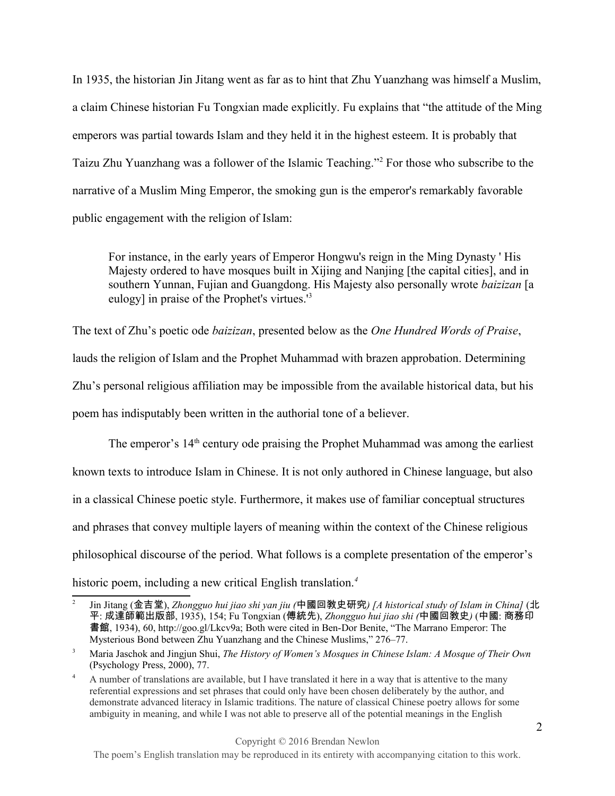In 1935, the historian Jin Jitang went as far as to hint that Zhu Yuanzhang was himself a Muslim, a claim Chinese historian Fu Tongxian made explicitly. Fu explains that "the attitude of the Ming emperors was partial towards Islam and they held it in the highest esteem. It is probably that Taizu Zhu Yuanzhang was a follower of the Islamic Teaching."[2](#page-1-0) For those who subscribe to the narrative of a Muslim Ming Emperor, the smoking gun is the emperor's remarkably favorable public engagement with the religion of Islam:

For instance, in the early years of Emperor Hongwu's reign in the Ming Dynasty ' His Majesty ordered to have mosques built in Xijing and Nanjing [the capital cities], and in southern Yunnan, Fujian and Guangdong. His Majesty also personally wrote *baizizan* [a eulogy] in praise of the Prophet's virtues.'[3](#page-1-1)

The text of Zhu's poetic ode *baizizan*, presented below as the *One Hundred Words of Praise*, lauds the religion of Islam and the Prophet Muhammad with brazen approbation. Determining Zhu's personal religious affiliation may be impossible from the available historical data, but his poem has indisputably been written in the authorial tone of a believer.

The emperor's 14<sup>th</sup> century ode praising the Prophet Muhammad was among the earliest known texts to introduce Islam in Chinese. It is not only authored in Chinese language, but also in a classical Chinese poetic style. Furthermore, it makes use of familiar conceptual structures and phrases that convey multiple layers of meaning within the context of the Chinese religious philosophical discourse of the period. What follows is a complete presentation of the emperor's historic poem, including a new critical English translation.<sup>[4](#page-1-2)</sup>

<span id="page-1-0"></span><sup>2</sup> Jin Jitang (金吉堂), *Zhongguo hui jiao shi yan jiu (*中國回敎史研究*) [A historical study of Islam in China]* (北 平: 成達師範出版部, 1935), 154; Fu Tongxian (傅統先), *Zhongguo hui jiao shi (*中國回敎史*)* (中國: 商務印 書館, 1934), 60, http://goo.gl/Lkcv9a; Both were cited in Ben-Dor Benite, "The Marrano Emperor: The Mysterious Bond between Zhu Yuanzhang and the Chinese Muslims," 276–77.

<span id="page-1-1"></span><sup>3</sup> Maria Jaschok and Jingjun Shui, *The History of Women's Mosques in Chinese Islam: A Mosque of Their Own* (Psychology Press, 2000), 77.

<span id="page-1-2"></span><sup>&</sup>lt;sup>4</sup> A number of translations are available, but I have translated it here in a way that is attentive to the many referential expressions and set phrases that could only have been chosen deliberately by the author, and demonstrate advanced literacy in Islamic traditions. The nature of classical Chinese poetry allows for some ambiguity in meaning, and while I was not able to preserve all of the potential meanings in the English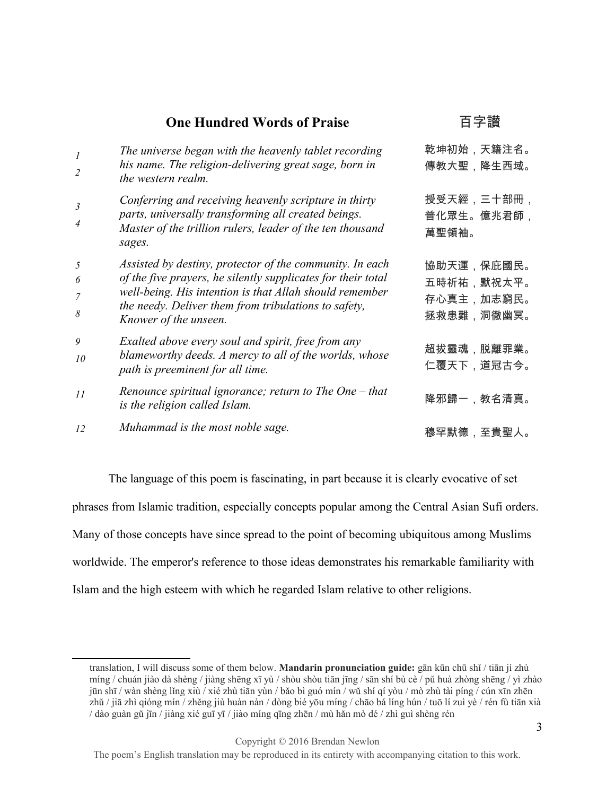## **One Hundred Words of Praise** 百字讃

| 1<br>$\overline{2}$ | The universe began with the heavenly tablet recording<br>his name. The religion-delivering great sage, born in<br>the western realm.                                                                                                                                 | 乾坤初始,天籍注名。<br>傳教大聖,降生西域。                             |
|---------------------|----------------------------------------------------------------------------------------------------------------------------------------------------------------------------------------------------------------------------------------------------------------------|------------------------------------------------------|
| 3<br>4              | Conferring and receiving heavenly scripture in thirty<br>parts, universally transforming all created beings.<br>Master of the trillion rulers, leader of the ten thousand<br>sages.                                                                                  | 授受天經,三十部冊,<br>普化眾生。億兆君師,<br>萬聖領袖。                    |
| 5<br>6<br>7<br>8    | Assisted by destiny, protector of the community. In each<br>of the five prayers, he silently supplicates for their total<br>well-being. His intention is that Allah should remember<br>the needy. Deliver them from tribulations to safety,<br>Knower of the unseen. | 協助天運,保庇國民。<br>五時祈祐,默祝太平。<br>存心真主,加志窮民。<br>拯救患難,洞徹幽冥。 |
| 9<br>10             | Exalted above every soul and spirit, free from any<br>blameworthy deeds. A mercy to all of the worlds, whose<br>path is preeminent for all time.                                                                                                                     | 超拔靈魂,脱離罪業。<br>仁覆天下,道冠古今。                             |
| 11                  | Renounce spiritual ignorance; return to The One $-$ that<br>is the religion called Islam.                                                                                                                                                                            | 降邪歸一,教名清真。                                           |
| 12                  | Muhammad is the most noble sage.                                                                                                                                                                                                                                     | 穆罕默德,至貴聖人。                                           |

The language of this poem is fascinating, in part because it is clearly evocative of set phrases from Islamic tradition, especially concepts popular among the Central Asian Sufi orders. Many of those concepts have since spread to the point of becoming ubiquitous among Muslims worldwide. The emperor's reference to those ideas demonstrates his remarkable familiarity with Islam and the high esteem with which he regarded Islam relative to other religions.

translation, I will discuss some of them below. **Mandarin pronunciation guide:** gān kūn chū shǐ / tiān jí zhù míng / chuán jiào dà shèng / jiàng shēng xī yù / shòu shòu tiān jīng / sān shí bù cè / pǔ huà zhòng shēng / yì zhào jūn shī / wàn shèng lǐng xiù / xié zhù tiān yùn / bǎo bì guó mín / wǔ shí qí yòu / mò zhù tài píng / cún xīn zhēn zhǔ / jiā zhì qióng mín / zhěng jiù huàn nàn / dòng bié yōu míng / chāo bá líng hún / tuō lí zuì yè / rén fù tiān xià / dào guàn gǔ jīn / jiàng xié guī yī / jiào míng qīng zhēn / mù hǎn mò dé / zhì guì shèng rén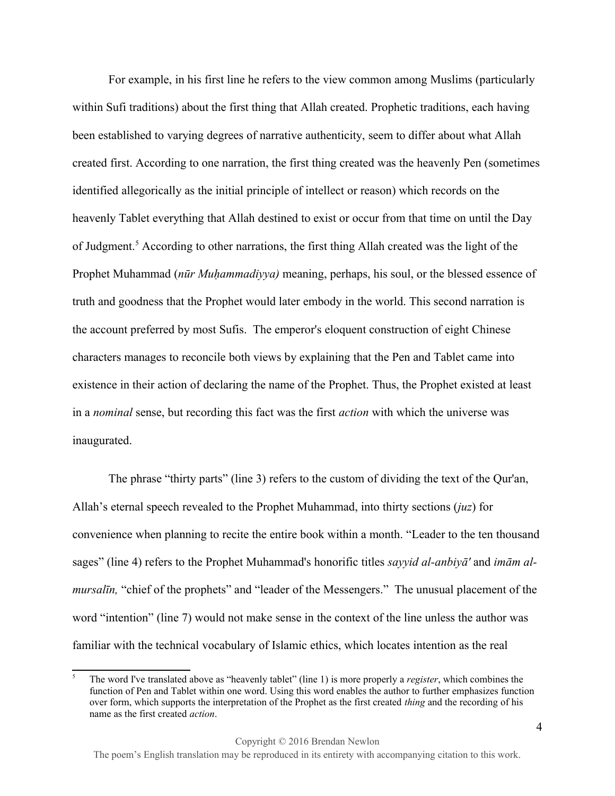For example, in his first line he refers to the view common among Muslims (particularly within Sufi traditions) about the first thing that Allah created. Prophetic traditions, each having been established to varying degrees of narrative authenticity, seem to differ about what Allah created first. According to one narration, the first thing created was the heavenly Pen (sometimes identified allegorically as the initial principle of intellect or reason) which records on the heavenly Tablet everything that Allah destined to exist or occur from that time on until the Day of Judgment.<sup>[5](#page-3-0)</sup> According to other narrations, the first thing Allah created was the light of the Prophet Muhammad (*nūr Muḥammadiyya)* meaning, perhaps, his soul, or the blessed essence of truth and goodness that the Prophet would later embody in the world. This second narration is the account preferred by most Sufis. The emperor's eloquent construction of eight Chinese characters manages to reconcile both views by explaining that the Pen and Tablet came into existence in their action of declaring the name of the Prophet. Thus, the Prophet existed at least in a *nominal* sense, but recording this fact was the first *action* with which the universe was inaugurated.

The phrase "thirty parts" (line 3) refers to the custom of dividing the text of the Qur'an, Allah's eternal speech revealed to the Prophet Muhammad, into thirty sections (*juz*) for convenience when planning to recite the entire book within a month. "Leader to the ten thousand sages" (line 4) refers to the Prophet Muhammad's honorific titles *sayyid al-anbiyā'* and *imām almursalīn,* "chief of the prophets" and "leader of the Messengers." The unusual placement of the word "intention" (line 7) would not make sense in the context of the line unless the author was familiar with the technical vocabulary of Islamic ethics, which locates intention as the real

<span id="page-3-0"></span><sup>5</sup> The word I've translated above as "heavenly tablet" (line 1) is more properly a *register*, which combines the function of Pen and Tablet within one word. Using this word enables the author to further emphasizes function over form, which supports the interpretation of the Prophet as the first created *thing* and the recording of his name as the first created *action*.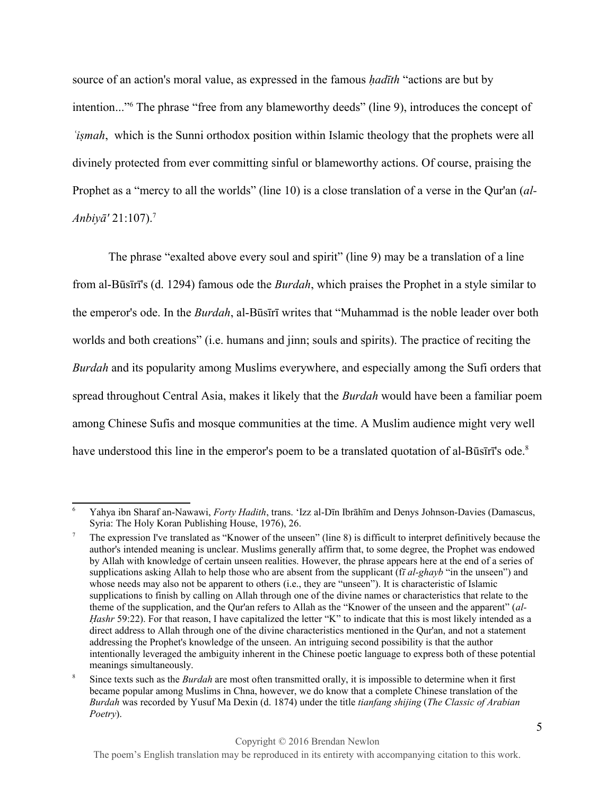source of an action's moral value, as expressed in the famous *hadīth* "actions are but by intention..."[6](#page-4-0) The phrase "free from any blameworthy deeds" (line 9), introduces the concept of *ʿiṣmah*, which is the Sunni orthodox position within Islamic theology that the prophets were all divinely protected from ever committing sinful or blameworthy actions. Of course, praising the Prophet as a "mercy to all the worlds" (line 10) is a close translation of a verse in the Qur'an (*al-Anbiyā'* 21:107).[7](#page-4-1)

The phrase "exalted above every soul and spirit" (line 9) may be a translation of a line from al-Būsīrī's (d. 1294) famous ode the *Burdah*, which praises the Prophet in a style similar to the emperor's ode. In the *Burdah*, al-Būsīrī writes that "Muhammad is the noble leader over both worlds and both creations" (i.e. humans and jinn; souls and spirits). The practice of reciting the *Burdah* and its popularity among Muslims everywhere, and especially among the Sufi orders that spread throughout Central Asia, makes it likely that the *Burdah* would have been a familiar poem among Chinese Sufis and mosque communities at the time. A Muslim audience might very well have understood this line in the emperor's poem to be a translated quotation of al-Būsīrī's ode.<sup>[8](#page-4-2)</sup>

<span id="page-4-0"></span><sup>6</sup> Yahya ibn Sharaf an-Nawawi, *Forty Hadith*, trans. ʻIzz al-Dīn Ibrāhīm and Denys Johnson-Davies (Damascus, Syria: The Holy Koran Publishing House, 1976), 26.

<span id="page-4-1"></span><sup>7</sup> The expression I've translated as "Knower of the unseen" (line 8) is difficult to interpret definitively because the author's intended meaning is unclear. Muslims generally affirm that, to some degree, the Prophet was endowed by Allah with knowledge of certain unseen realities. However, the phrase appears here at the end of a series of supplications asking Allah to help those who are absent from the supplicant (f*ī al-ghayb* "in the unseen") and whose needs may also not be apparent to others (i.e., they are "unseen"). It is characteristic of Islamic supplications to finish by calling on Allah through one of the divine names or characteristics that relate to the theme of the supplication, and the Qur'an refers to Allah as the "Knower of the unseen and the apparent" (*al-Hashr* 59:22). For that reason, I have capitalized the letter "K" to indicate that this is most likely intended as a direct address to Allah through one of the divine characteristics mentioned in the Qur'an, and not a statement addressing the Prophet's knowledge of the unseen. An intriguing second possibility is that the author intentionally leveraged the ambiguity inherent in the Chinese poetic language to express both of these potential meanings simultaneously.

<span id="page-4-2"></span><sup>8</sup> Since texts such as the *Burdah* are most often transmitted orally, it is impossible to determine when it first became popular among Muslims in Chna, however, we do know that a complete Chinese translation of the *Burdah* was recorded by Yusuf Ma Dexin (d. 1874) under the title *tianfang shijing* (*The Classic of Arabian Poetry*).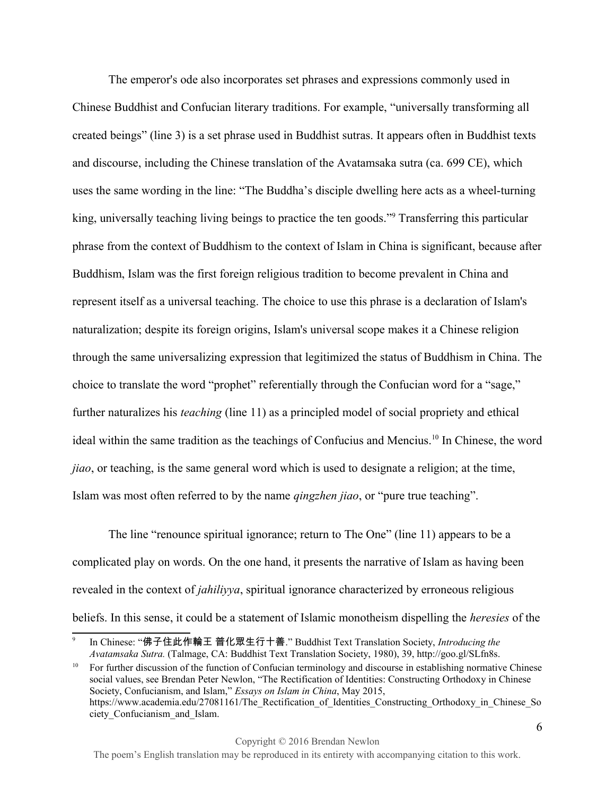The emperor's ode also incorporates set phrases and expressions commonly used in Chinese Buddhist and Confucian literary traditions. For example, "universally transforming all created beings" (line 3) is a set phrase used in Buddhist sutras. It appears often in Buddhist texts and discourse, including the Chinese translation of the Avatamsaka sutra (ca. 699 CE), which uses the same wording in the line: "The Buddha's disciple dwelling here acts as a wheel-turning king, universally teaching living beings to practice the ten goods."<sup>[9](#page-5-0)</sup> Transferring this particular phrase from the context of Buddhism to the context of Islam in China is significant, because after Buddhism, Islam was the first foreign religious tradition to become prevalent in China and represent itself as a universal teaching. The choice to use this phrase is a declaration of Islam's naturalization; despite its foreign origins, Islam's universal scope makes it a Chinese religion through the same universalizing expression that legitimized the status of Buddhism in China. The choice to translate the word "prophet" referentially through the Confucian word for a "sage," further naturalizes his *teaching* (line 11) as a principled model of social propriety and ethical ideal within the same tradition as the teachings of Confucius and Mencius.<sup>[10](#page-5-1)</sup> In Chinese, the word *jiao*, or teaching, is the same general word which is used to designate a religion; at the time, Islam was most often referred to by the name *qingzhen jiao*, or "pure true teaching".

The line "renounce spiritual ignorance; return to The One" (line 11) appears to be a complicated play on words. On the one hand, it presents the narrative of Islam as having been revealed in the context of *jahiliyya*, spiritual ignorance characterized by erroneous religious beliefs. In this sense, it could be a statement of Islamic monotheism dispelling the *heresies* of the

<span id="page-5-0"></span><sup>9</sup> In Chinese: "佛子住此作輪王 普化眾生行十善." Buddhist Text Translation Society, *Introducing the Avatamsaka Sutra.* (Talmage, CA: Buddhist Text Translation Society, 1980), 39, http://goo.gl/SLfn8s.

<span id="page-5-1"></span><sup>10</sup> For further discussion of the function of Confucian terminology and discourse in establishing normative Chinese social values, see Brendan Peter Newlon, "The Rectification of Identities: Constructing Orthodoxy in Chinese Society, Confucianism, and Islam," *Essays on Islam in China*, May 2015, https://www.academia.edu/27081161/The\_Rectification\_of\_Identities\_Constructing\_Orthodoxy\_in\_Chinese\_So ciety\_Confucianism\_and\_Islam.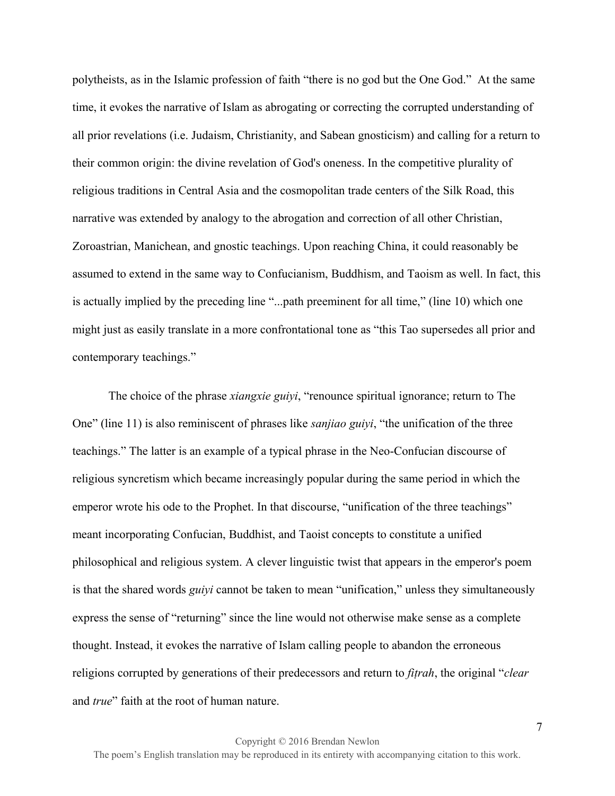polytheists, as in the Islamic profession of faith "there is no god but the One God." At the same time, it evokes the narrative of Islam as abrogating or correcting the corrupted understanding of all prior revelations (i.e. Judaism, Christianity, and Sabean gnosticism) and calling for a return to their common origin: the divine revelation of God's oneness. In the competitive plurality of religious traditions in Central Asia and the cosmopolitan trade centers of the Silk Road, this narrative was extended by analogy to the abrogation and correction of all other Christian, Zoroastrian, Manichean, and gnostic teachings. Upon reaching China, it could reasonably be assumed to extend in the same way to Confucianism, Buddhism, and Taoism as well. In fact, this is actually implied by the preceding line "...path preeminent for all time," (line 10) which one might just as easily translate in a more confrontational tone as "this Tao supersedes all prior and contemporary teachings."

The choice of the phrase *xiangxie guiyi*, "renounce spiritual ignorance; return to The One" (line 11) is also reminiscent of phrases like *sanjiao guiyi*, "the unification of the three teachings." The latter is an example of a typical phrase in the Neo-Confucian discourse of religious syncretism which became increasingly popular during the same period in which the emperor wrote his ode to the Prophet. In that discourse, "unification of the three teachings" meant incorporating Confucian, Buddhist, and Taoist concepts to constitute a unified philosophical and religious system. A clever linguistic twist that appears in the emperor's poem is that the shared words *guiyi* cannot be taken to mean "unification," unless they simultaneously express the sense of "returning" since the line would not otherwise make sense as a complete thought. Instead, it evokes the narrative of Islam calling people to abandon the erroneous religions corrupted by generations of their predecessors and return to *fiṭrah*, the original "*clear* and *true*" faith at the root of human nature.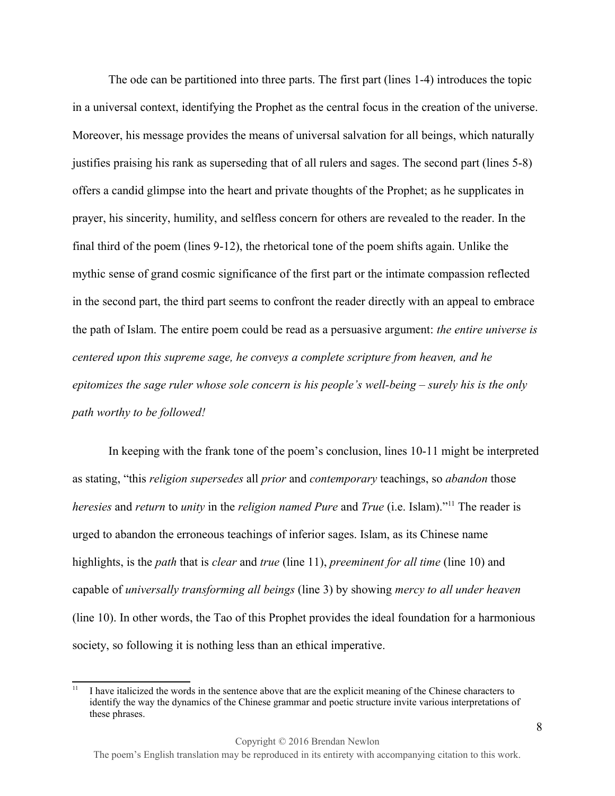The ode can be partitioned into three parts. The first part (lines 1-4) introduces the topic in a universal context, identifying the Prophet as the central focus in the creation of the universe. Moreover, his message provides the means of universal salvation for all beings, which naturally justifies praising his rank as superseding that of all rulers and sages. The second part (lines 5-8) offers a candid glimpse into the heart and private thoughts of the Prophet; as he supplicates in prayer, his sincerity, humility, and selfless concern for others are revealed to the reader. In the final third of the poem (lines 9-12), the rhetorical tone of the poem shifts again. Unlike the mythic sense of grand cosmic significance of the first part or the intimate compassion reflected in the second part, the third part seems to confront the reader directly with an appeal to embrace the path of Islam. The entire poem could be read as a persuasive argument: *the entire universe is centered upon this supreme sage, he conveys a complete scripture from heaven, and he epitomizes the sage ruler whose sole concern is his people's well-being – surely his is the only path worthy to be followed!* 

In keeping with the frank tone of the poem's conclusion, lines 10-11 might be interpreted as stating, "this *religion supersedes* all *prior* and *contemporary* teachings, so *abandon* those *heresies* and *return* to *unity* in the *religion named Pure* and *True* (i.e. Islam)."[11](#page-7-0) The reader is urged to abandon the erroneous teachings of inferior sages. Islam, as its Chinese name highlights, is the *path* that is *clear* and *true* (line 11), *preeminent for all time* (line 10) and capable of *universally transforming all beings* (line 3) by showing *mercy to all under heaven*  (line 10). In other words, the Tao of this Prophet provides the ideal foundation for a harmonious society, so following it is nothing less than an ethical imperative.

<span id="page-7-0"></span><sup>11</sup> I have italicized the words in the sentence above that are the explicit meaning of the Chinese characters to identify the way the dynamics of the Chinese grammar and poetic structure invite various interpretations of these phrases.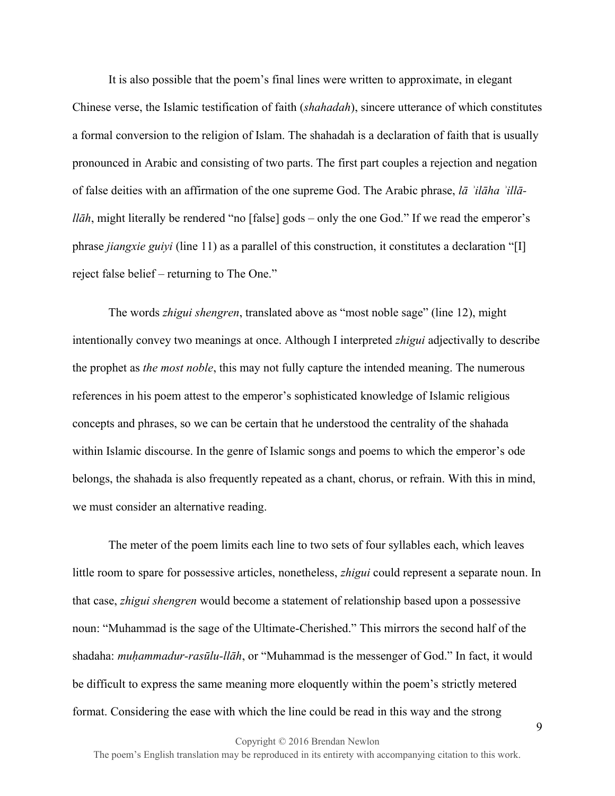It is also possible that the poem's final lines were written to approximate, in elegant Chinese verse, the Islamic testification of faith (*shahadah*), sincere utterance of which constitutes a formal conversion to the religion of Islam. The shahadah is a declaration of faith that is usually pronounced in Arabic and consisting of two parts. The first part couples a rejection and negation of false deities with an affirmation of the one supreme God. The Arabic phrase, *lā ʾilāha ʾillāllāh*, might literally be rendered "no [false] gods – only the one God." If we read the emperor's phrase *jiangxie guiyi* (line 11) as a parallel of this construction, it constitutes a declaration "[I] reject false belief – returning to The One."

The words *zhigui shengren*, translated above as "most noble sage" (line 12), might intentionally convey two meanings at once. Although I interpreted *zhigui* adjectivally to describe the prophet as *the most noble*, this may not fully capture the intended meaning. The numerous references in his poem attest to the emperor's sophisticated knowledge of Islamic religious concepts and phrases, so we can be certain that he understood the centrality of the shahada within Islamic discourse. In the genre of Islamic songs and poems to which the emperor's ode belongs, the shahada is also frequently repeated as a chant, chorus, or refrain. With this in mind, we must consider an alternative reading.

The meter of the poem limits each line to two sets of four syllables each, which leaves little room to spare for possessive articles, nonetheless, *zhigui* could represent a separate noun. In that case, *zhigui shengren* would become a statement of relationship based upon a possessive noun: "Muhammad is the sage of the Ultimate-Cherished." This mirrors the second half of the shadaha: *muḥammadur-rasūlu-llāh*, or "Muhammad is the messenger of God." In fact, it would be difficult to express the same meaning more eloquently within the poem's strictly metered format. Considering the ease with which the line could be read in this way and the strong

Copyright © 2016 Brendan Newlon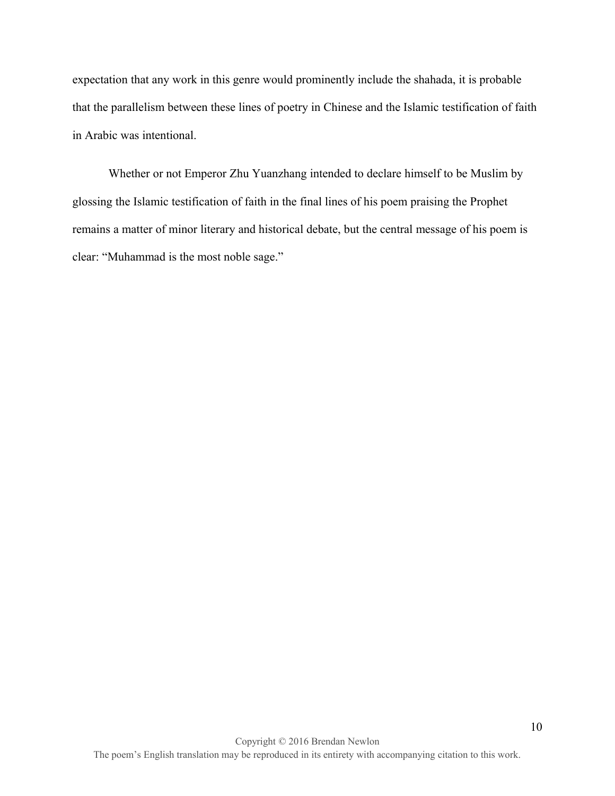expectation that any work in this genre would prominently include the shahada, it is probable that the parallelism between these lines of poetry in Chinese and the Islamic testification of faith in Arabic was intentional.

Whether or not Emperor Zhu Yuanzhang intended to declare himself to be Muslim by glossing the Islamic testification of faith in the final lines of his poem praising the Prophet remains a matter of minor literary and historical debate, but the central message of his poem is clear: "Muhammad is the most noble sage."